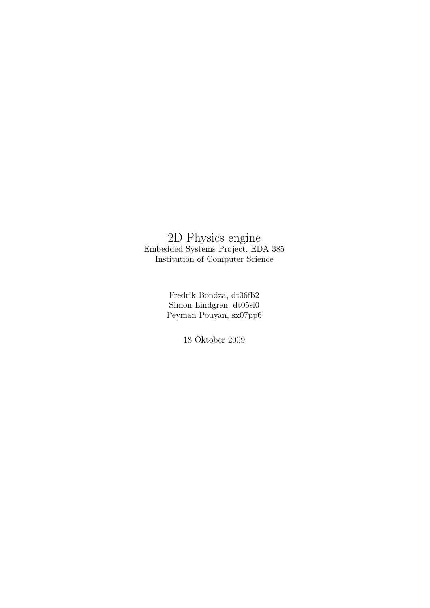# 2D Physics engine Embedded Systems Project, EDA 385 Institution of Computer Science

Fredrik Bondza, dt06fb2 Simon Lindgren, dt05sl0 Peyman Pouyan, sx07pp6

18 Oktober 2009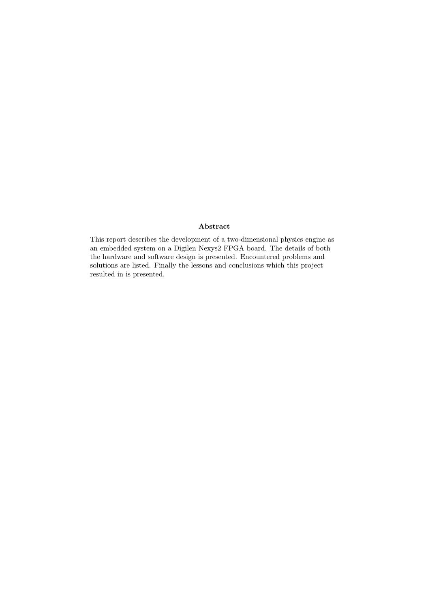#### Abstract

This report describes the development of a two-dimensional physics engine as an embedded system on a Digilen Nexys2 FPGA board. The details of both the hardware and software design is presented. Encountered problems and solutions are listed. Finally the lessons and conclusions which this project resulted in is presented.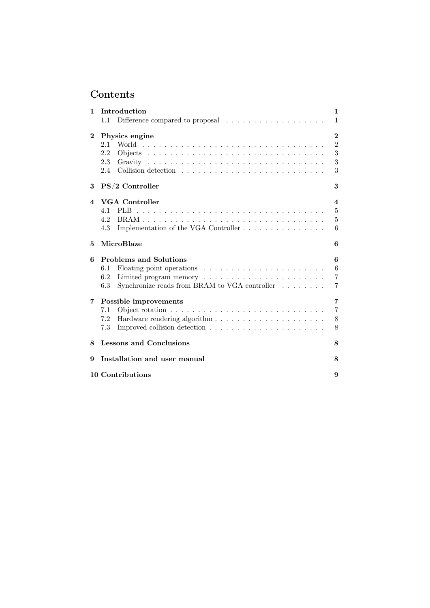# Contents

| $\mathbf{1}$           | Introduction                                                                | $\mathbf{1}$   |  |  |  |
|------------------------|-----------------------------------------------------------------------------|----------------|--|--|--|
|                        | Difference compared to proposal $\ldots \ldots \ldots \ldots \ldots$<br>1.1 | $\mathbf{1}$   |  |  |  |
| $\mathbf{2}$           | Physics engine                                                              |                |  |  |  |
|                        | 2.1                                                                         | $\overline{2}$ |  |  |  |
|                        | 2.2                                                                         | 3              |  |  |  |
|                        | 2.3                                                                         | 3              |  |  |  |
|                        | 2.4                                                                         | 3              |  |  |  |
| 3                      | PS/2 Controller<br>3                                                        |                |  |  |  |
| $\boldsymbol{\Lambda}$ | <b>VGA</b> Controller                                                       | $\overline{4}$ |  |  |  |
|                        | 4.1                                                                         | 5              |  |  |  |
|                        | 4.2                                                                         | 5              |  |  |  |
|                        | 4.3                                                                         | 6              |  |  |  |
| 5                      | MicroBlaze<br>6                                                             |                |  |  |  |
| 6                      | <b>Problems and Solutions</b>                                               | 6              |  |  |  |
|                        | 6.1                                                                         | 6              |  |  |  |
|                        | 6.2                                                                         | $\overline{7}$ |  |  |  |
|                        | Synchronize reads from BRAM to VGA controller $\ldots \ldots$<br>6.3        | 7              |  |  |  |
| $\overline{7}$         | Possible improvements                                                       | 7              |  |  |  |
|                        | 7.1                                                                         | $\overline{7}$ |  |  |  |
|                        | 7.2                                                                         | 8              |  |  |  |
|                        | 7.3                                                                         | 8              |  |  |  |
| 8                      | <b>Lessons and Conclusions</b>                                              |                |  |  |  |
| 9                      | Installation and user manual                                                |                |  |  |  |
|                        | 10 Contributions<br>9                                                       |                |  |  |  |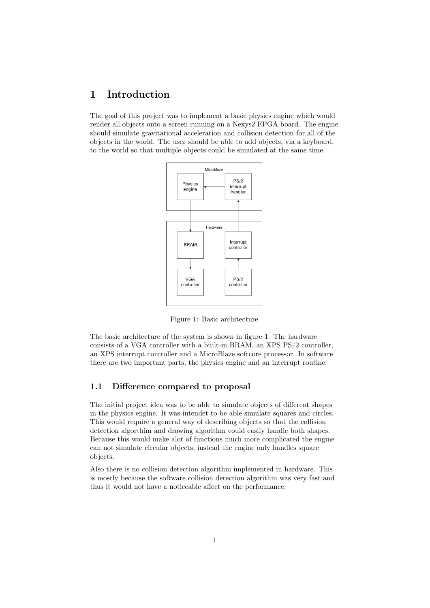# 1 Introduction

The goal of this project was to implement a basic physics engine which would render all objects onto a screen running on a Nexys2 FPGA board. The engine should simulate gravitational acceleration and collision detection for all of the objects in the world. The user should be able to add objects, via a keyboard, to the world so that multiple objects could be simulated at the same time.



Figure 1: Basic architecture

The basic architecture of the system is shown in figure 1. The hardware consists of a VGA controller with a built-in BRAM, an XPS PS/2 controller, an XPS interrupt controller and a MicroBlaze softcore processor. In software there are two important parts, the physics engine and an interrupt routine.

#### 1.1 Difference compared to proposal

The initial project idea was to be able to simulate objects of different shapes in the physics engine. It was intendet to be able simulate squares and circles. This would require a general way of describing objects so that the collision detection algorthim and drawing algorithm could easily handle both shapes. Because this would make alot of functions much more complicated the engine can not simulate circular objects, instead the engine only handles square objects.

Also there is no collision detection algorithm implemented in hardware. This is mostly because the software collision detection algorithm was very fast and thus it would not have a noticeable affect on the performance.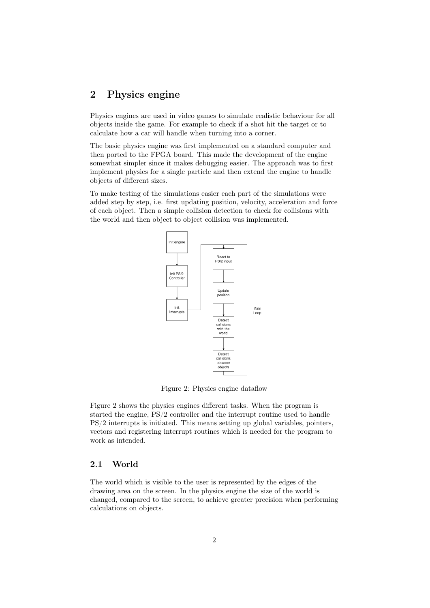# 2 Physics engine

Physics engines are used in video games to simulate realistic behaviour for all objects inside the game. For example to check if a shot hit the target or to calculate how a car will handle when turning into a corner.

The basic physics engine was first implemented on a standard computer and then ported to the FPGA board. This made the development of the engine somewhat simpler since it makes debugging easier. The approach was to first implement physics for a single particle and then extend the engine to handle objects of different sizes.

To make testing of the simulations easier each part of the simulations were added step by step, i.e. first updating position, velocity, acceleration and force of each object. Then a simple collision detection to check for collisions with the world and then object to object collision was implemented.



Figure 2: Physics engine dataflow

Figure 2 shows the physics engines different tasks. When the program is started the engine, PS/2 controller and the interrupt routine used to handle PS/2 interrupts is initiated. This means setting up global variables, pointers, vectors and registering interrupt routines which is needed for the program to work as intended.

#### 2.1 World

The world which is visible to the user is represented by the edges of the drawing area on the screen. In the physics engine the size of the world is changed, compared to the screen, to achieve greater precision when performing calculations on objects.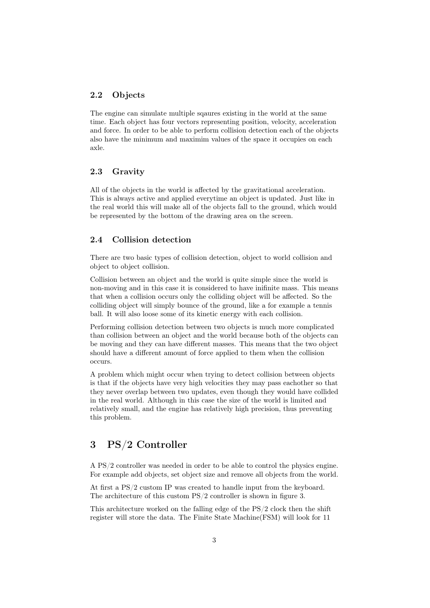#### 2.2 Objects

The engine can simulate multiple sqaures existing in the world at the same time. Each object has four vectors representing position, velocity, acceleration and force. In order to be able to perform collision detection each of the objects also have the minimum and maximim values of the space it occupies on each axle.

#### 2.3 Gravity

All of the objects in the world is affected by the gravitational acceleration. This is always active and applied everytime an object is updated. Just like in the real world this will make all of the objects fall to the ground, which would be represented by the bottom of the drawing area on the screen.

#### 2.4 Collision detection

There are two basic types of collision detection, object to world collision and object to object collision.

Collision between an object and the world is quite simple since the world is non-moving and in this case it is considered to have inifinite mass. This means that when a collision occurs only the colliding object will be affected. So the colliding object will simply bounce of the ground, like a for example a tennis ball. It will also loose some of its kinetic energy with each collision.

Performing collision detection between two objects is much more complicated than collision between an object and the world because both of the objects can be moving and they can have different masses. This means that the two object should have a different amount of force applied to them when the collision occurs.

A problem which might occur when trying to detect collision between objects is that if the objects have very high velocities they may pass eachother so that they never overlap between two updates, even though they would have collided in the real world. Although in this case the size of the world is limited and relatively small, and the engine has relatively high precision, thus preventing this problem.

## 3 PS/2 Controller

A PS/2 controller was needed in order to be able to control the physics engine. For example add objects, set object size and remove all objects from the world.

At first a PS/2 custom IP was created to handle input from the keyboard. The architecture of this custom PS/2 controller is shown in figure 3.

This architecture worked on the falling edge of the PS/2 clock then the shift register will store the data. The Finite State Machine(FSM) will look for 11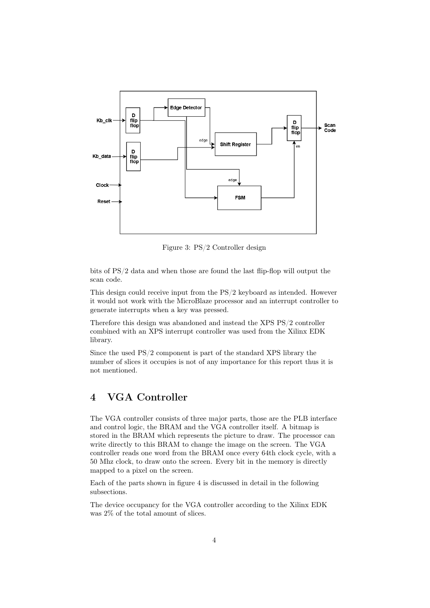

Figure 3: PS/2 Controller design

bits of PS/2 data and when those are found the last flip-flop will output the scan code.

This design could receive input from the PS/2 keyboard as intended. However it would not work with the MicroBlaze processor and an interrupt controller to generate interrupts when a key was pressed.

Therefore this design was abandoned and instead the XPS PS/2 controller combined with an XPS interrupt controller was used from the Xilinx EDK library.

Since the used PS/2 component is part of the standard XPS library the number of slices it occupies is not of any importance for this report thus it is not mentioned.

# 4 VGA Controller

The VGA controller consists of three major parts, those are the PLB interface and control logic, the BRAM and the VGA controller itself. A bitmap is stored in the BRAM which represents the picture to draw. The processor can write directly to this BRAM to change the image on the screen. The VGA controller reads one word from the BRAM once every 64th clock cycle, with a 50 Mhz clock, to draw onto the screen. Every bit in the memory is directly mapped to a pixel on the screen.

Each of the parts shown in figure 4 is discussed in detail in the following subsections.

The device occupancy for the VGA controller according to the Xilinx EDK was 2% of the total amount of slices.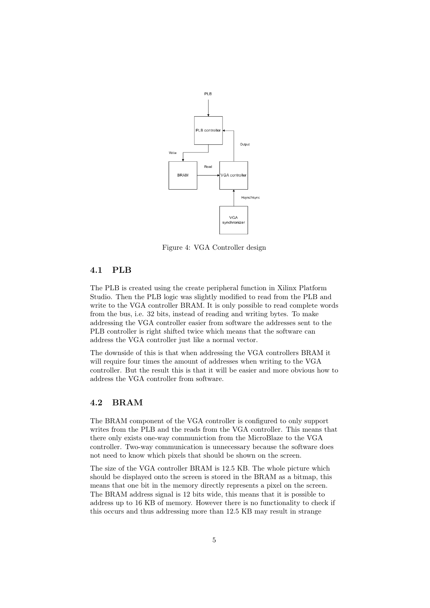

Figure 4: VGA Controller design

#### 4.1 PLB

The PLB is created using the create peripheral function in Xilinx Platform Studio. Then the PLB logic was slightly modified to read from the PLB and write to the VGA controller BRAM. It is only possible to read complete words from the bus, i.e. 32 bits, instead of reading and writing bytes. To make addressing the VGA controller easier from software the addresses sent to the PLB controller is right shifted twice which means that the software can address the VGA controller just like a normal vector.

The downside of this is that when addressing the VGA controllers BRAM it will require four times the amount of addresses when writing to the VGA controller. But the result this is that it will be easier and more obvious how to address the VGA controller from software.

#### 4.2 BRAM

The BRAM component of the VGA controller is configured to only support writes from the PLB and the reads from the VGA controller. This means that there only exists one-way communiction from the MicroBlaze to the VGA controller. Two-way communication is unnecessary because the software does not need to know which pixels that should be shown on the screen.

The size of the VGA controller BRAM is 12.5 KB. The whole picture which should be displayed onto the screen is stored in the BRAM as a bitmap, this means that one bit in the memory directly represents a pixel on the screen. The BRAM address signal is 12 bits wide, this means that it is possible to address up to 16 KB of memory. However there is no functionality to check if this occurs and thus addressing more than 12.5 KB may result in strange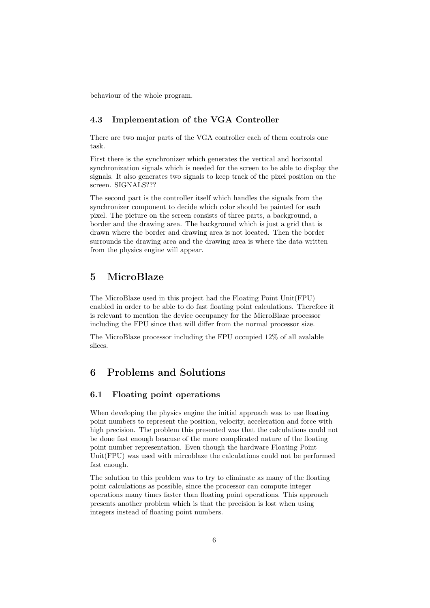behaviour of the whole program.

#### 4.3 Implementation of the VGA Controller

There are two major parts of the VGA controller each of them controls one task.

First there is the synchronizer which generates the vertical and horizontal synchronization signals which is needed for the screen to be able to display the signals. It also generates two signals to keep track of the pixel position on the screen. SIGNALS???

The second part is the controller itself which handles the signals from the synchronizer component to decide which color should be painted for each pixel. The picture on the screen consists of three parts, a background, a border and the drawing area. The background which is just a grid that is drawn where the border and drawing area is not located. Then the border surrounds the drawing area and the drawing area is where the data written from the physics engine will appear.

## 5 MicroBlaze

The MicroBlaze used in this project had the Floating Point Unit(FPU) enabled in order to be able to do fast floating point calculations. Therefore it is relevant to mention the device occupancy for the MicroBlaze processor including the FPU since that will differ from the normal processor size.

The MicroBlaze processor including the FPU occupied 12% of all avalable slices.

# 6 Problems and Solutions

#### 6.1 Floating point operations

When developing the physics engine the initial approach was to use floating point numbers to represent the position, velocity, acceleration and force with high precision. The problem this presented was that the calculations could not be done fast enough beacuse of the more complicated nature of the floating point number representation. Even though the hardware Floating Point Unit(FPU) was used with mircoblaze the calculations could not be performed fast enough.

The solution to this problem was to try to eliminate as many of the floating point calculations as possible, since the processor can compute integer operations many times faster than floating point operations. This approach presents another problem which is that the precision is lost when using integers instead of floating point numbers.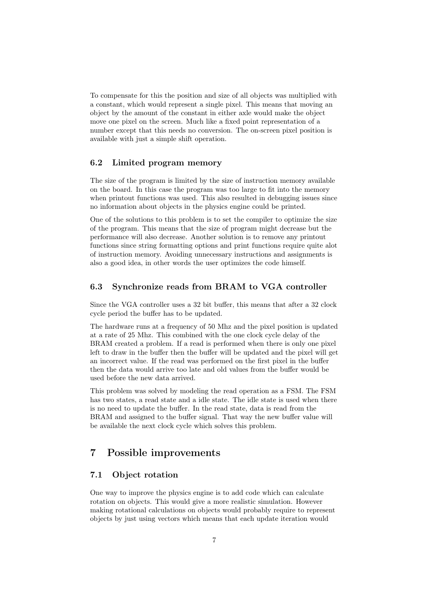To compensate for this the position and size of all objects was multiplied with a constant, which would represent a single pixel. This means that moving an object by the amount of the constant in either axle would make the object move one pixel on the screen. Much like a fixed point representation of a number except that this needs no conversion. The on-screen pixel position is available with just a simple shift operation.

#### 6.2 Limited program memory

The size of the program is limited by the size of instruction memory available on the board. In this case the program was too large to fit into the memory when printout functions was used. This also resulted in debugging issues since no information about objects in the physics engine could be printed.

One of the solutions to this problem is to set the compiler to optimize the size of the program. This means that the size of program might decrease but the performance will also decrease. Another solution is to remove any printout functions since string formatting options and print functions require quite alot of instruction memory. Avoiding unnecessary instructions and assignments is also a good idea, in other words the user optimizes the code himself.

#### 6.3 Synchronize reads from BRAM to VGA controller

Since the VGA controller uses a 32 bit buffer, this means that after a 32 clock cycle period the buffer has to be updated.

The hardware runs at a frequency of 50 Mhz and the pixel position is updated at a rate of 25 Mhz. This combined with the one clock cycle delay of the BRAM created a problem. If a read is performed when there is only one pixel left to draw in the buffer then the buffer will be updated and the pixel will get an incorrect value. If the read was performed on the first pixel in the buffer then the data would arrive too late and old values from the buffer would be used before the new data arrived.

This problem was solved by modeling the read operation as a FSM. The FSM has two states, a read state and a idle state. The idle state is used when there is no need to update the buffer. In the read state, data is read from the BRAM and assigned to the buffer signal. That way the new buffer value will be available the next clock cycle which solves this problem.

### 7 Possible improvements

#### 7.1 Object rotation

One way to improve the physics engine is to add code which can calculate rotation on objects. This would give a more realistic simulation. However making rotational calculations on objects would probably require to represent objects by just using vectors which means that each update iteration would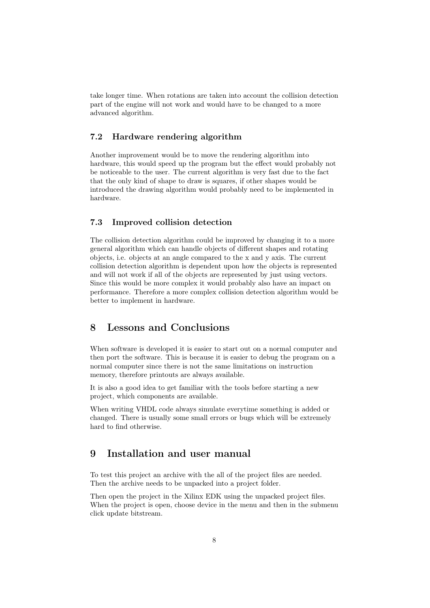take longer time. When rotations are taken into account the collision detection part of the engine will not work and would have to be changed to a more advanced algorithm.

#### 7.2 Hardware rendering algorithm

Another improvement would be to move the rendering algorithm into hardware, this would speed up the program but the effect would probably not be noticeable to the user. The current algorithm is very fast due to the fact that the only kind of shape to draw is squares, if other shapes would be introduced the drawing algorithm would probably need to be implemented in hardware.

#### 7.3 Improved collision detection

The collision detection algorithm could be improved by changing it to a more general algorithm which can handle objects of different shapes and rotating objects, i.e. objects at an angle compared to the x and y axis. The current collision detection algorithm is dependent upon how the objects is represented and will not work if all of the objects are represented by just using vectors. Since this would be more complex it would probably also have an impact on performance. Therefore a more complex collision detection algorithm would be better to implement in hardware.

## 8 Lessons and Conclusions

When software is developed it is easier to start out on a normal computer and then port the software. This is because it is easier to debug the program on a normal computer since there is not the same limitations on instruction memory, therefore printouts are always available.

It is also a good idea to get familiar with the tools before starting a new project, which components are available.

When writing VHDL code always simulate everytime something is added or changed. There is usually some small errors or bugs which will be extremely hard to find otherwise.

#### 9 Installation and user manual

To test this project an archive with the all of the project files are needed. Then the archive needs to be unpacked into a project folder.

Then open the project in the Xilinx EDK using the unpacked project files. When the project is open, choose device in the menu and then in the submenu click update bitstream.